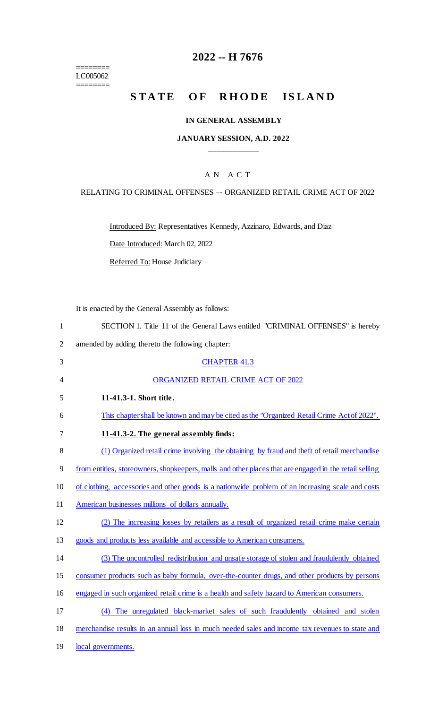======== LC005062

 $=$ 

## **2022 -- H 7676**

# STATE OF RHODE ISLAND

#### **IN GENERAL ASSEMBLY**

#### **JANUARY SESSION, A.D. 2022 \_\_\_\_\_\_\_\_\_\_\_\_**

## A N A C T

#### RELATING TO CRIMINAL OFFENSES –- ORGANIZED RETAIL CRIME ACT OF 2022

Introduced By: Representatives Kennedy, Azzinaro, Edwards, and Diaz

Date Introduced: March 02, 2022

Referred To: House Judiciary

It is enacted by the General Assembly as follows:

| $\mathbf{1}$   | SECTION 1. Title 11 of the General Laws entitled "CRIMINAL OFFENSES" is hereby                         |
|----------------|--------------------------------------------------------------------------------------------------------|
| $\overline{2}$ | amended by adding thereto the following chapter:                                                       |
| 3              | <b>CHAPTER 41.3</b>                                                                                    |
| 4              | ORGANIZED RETAIL CRIME ACT OF 2022                                                                     |
| 5              | 11-41.3-1. Short title.                                                                                |
| 6              | This chapter shall be known and may be cited as the "Organized Retail Crime Act of 2022".              |
| 7              | 11-41.3-2. The general assembly finds:                                                                 |
| 8              | (1) Organized retail crime involving the obtaining by fraud and theft of retail merchandise            |
| 9              | from entities, storeowners, shopkeepers, malls and other places that are engaged in the retail selling |
| 10             | of clothing, accessories and other goods is a nationwide problem of an increasing scale and costs      |
| 11             | American businesses millions of dollars annually.                                                      |
| 12             | (2) The increasing losses by retailers as a result of organized retail crime make certain              |
| 13             | goods and products less available and accessible to American consumers.                                |
| 14             | (3) The uncontrolled redistribution and unsafe storage of stolen and fraudulently obtained             |
| 15             | consumer products such as baby formula, over-the-counter drugs, and other products by persons          |
| 16             | engaged in such organized retail crime is a health and safety hazard to American consumers.            |
| 17             | (4) The unregulated black-market sales of such fraudulently obtained and stolen                        |
| 18             | merchandise results in an annual loss in much needed sales and income tax revenues to state and        |
| 19             | local governments.                                                                                     |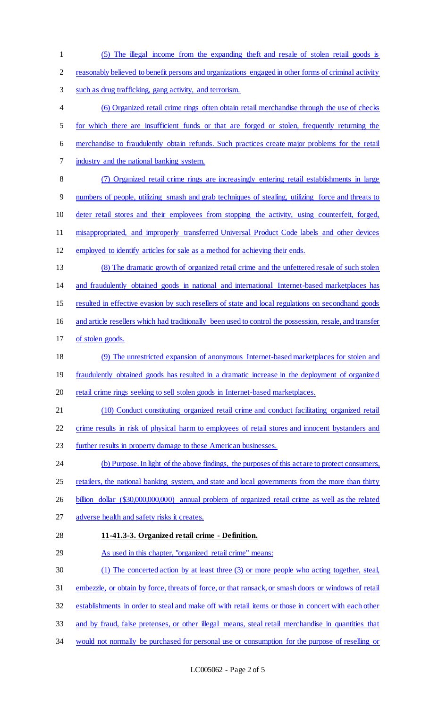(5) The illegal income from the expanding theft and resale of stolen retail goods is reasonably believed to benefit persons and organizations engaged in other forms of criminal activity such as drug trafficking, gang activity, and terrorism. (6) Organized retail crime rings often obtain retail merchandise through the use of checks for which there are insufficient funds or that are forged or stolen, frequently returning the merchandise to fraudulently obtain refunds. Such practices create major problems for the retail industry and the national banking system. (7) Organized retail crime rings are increasingly entering retail establishments in large numbers of people, utilizing smash and grab techniques of stealing, utilizing force and threats to deter retail stores and their employees from stopping the activity, using counterfeit, forged, misappropriated, and improperly transferred Universal Product Code labels and other devices employed to identify articles for sale as a method for achieving their ends. (8) The dramatic growth of organized retail crime and the unfettered resale of such stolen and fraudulently obtained goods in national and international Internet-based marketplaces has resulted in effective evasion by such resellers of state and local regulations on secondhand goods and article resellers which had traditionally been used to control the possession, resale, and transfer of stolen goods. (9) The unrestricted expansion of anonymous Internet-based marketplaces for stolen and fraudulently obtained goods has resulted in a dramatic increase in the deployment of organized retail crime rings seeking to sell stolen goods in Internet-based marketplaces. (10) Conduct constituting organized retail crime and conduct facilitating organized retail crime results in risk of physical harm to employees of retail stores and innocent bystanders and further results in property damage to these American businesses. (b) Purpose.In light of the above findings, the purposes of this act are to protect consumers, 25 retailers, the national banking system, and state and local governments from the more than thirty billion dollar (\$30,000,000,000) annual problem of organized retail crime as well as the related adverse health and safety risks it creates. **11-41.3-3. Organized retail crime - Definition.**  As used in this chapter, "organized retail crime" means: (1) The concerted action by at least three (3) or more people who acting together, steal, embezzle, or obtain by force, threats of force, or that ransack, or smash doors or windows of retail establishments in order to steal and make off with retail items or those in concert with each other and by fraud, false pretenses, or other illegal means, steal retail merchandise in quantities that would not normally be purchased for personal use or consumption for the purpose of reselling or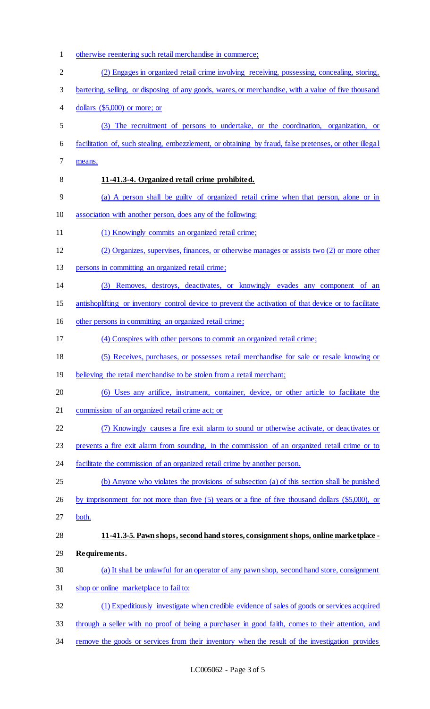otherwise reentering such retail merchandise in commerce; (2) Engages in organized retail crime involving receiving, possessing, concealing, storing, bartering, selling, or disposing of any goods, wares, or merchandise, with a value of five thousand dollars (\$5,000) or more; or (3) The recruitment of persons to undertake, or the coordination, organization, or facilitation of, such stealing, embezzlement, or obtaining by fraud, false pretenses, or other illegal means. **11-41.3-4. Organized retail crime prohibited.**  (a) A person shall be guilty of organized retail crime when that person, alone or in association with another person, does any of the following: 11 (1) Knowingly commits an organized retail crime; (2) Organizes, supervises, finances, or otherwise manages or assists two (2) or more other persons in committing an organized retail crime; (3) Removes, destroys, deactivates, or knowingly evades any component of an antishoplifting or inventory control device to prevent the activation of that device or to facilitate other persons in committing an organized retail crime; (4) Conspires with other persons to commit an organized retail crime; (5) Receives, purchases, or possesses retail merchandise for sale or resale knowing or 19 believing the retail merchandise to be stolen from a retail merchant; (6) Uses any artifice, instrument, container, device, or other article to facilitate the commission of an organized retail crime act; or (7) Knowingly causes a fire exit alarm to sound or otherwise activate, or deactivates or prevents a fire exit alarm from sounding, in the commission of an organized retail crime or to 24 facilitate the commission of an organized retail crime by another person. (b) Anyone who violates the provisions of subsection (a) of this section shall be punished by imprisonment for not more than five (5) years or a fine of five thousand dollars (\$5,000), or both. **11-41.3-5. Pawn shops, second hand stores, consignment shops, online marketplace - Requirements.**  (a) It shall be unlawful for an operator of any pawn shop, second hand store, consignment shop or online marketplace to fail to: (1) Expeditiously investigate when credible evidence of sales of goods or services acquired 33 through a seller with no proof of being a purchaser in good faith, comes to their attention, and remove the goods or services from their inventory when the result of the investigation provides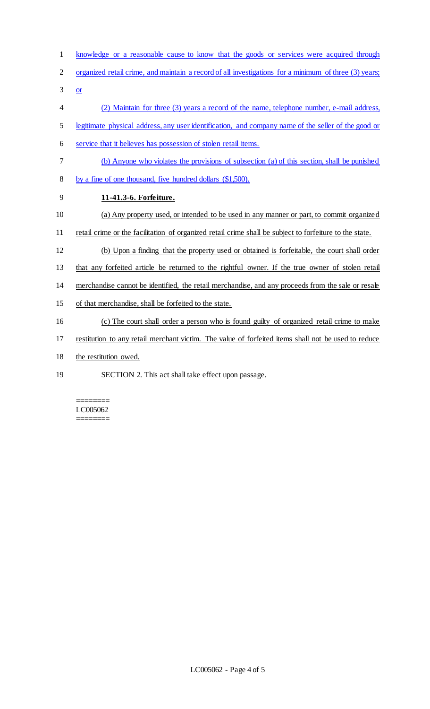- knowledge or a reasonable cause to know that the goods or services were acquired through
- organized retail crime, and maintain a record of all investigations for a minimum of three (3) years;
- $3 \quad or \quad$
- (2) Maintain for three (3) years a record of the name, telephone number, e-mail address,
- legitimate physical address, any user identification, and company name of the seller of the good or
- service that it believes has possession of stolen retail items.
- (b) Anyone who violates the provisions of subsection (a) of this section, shall be punished
- by a fine of one thousand, five hundred dollars (\$1,500).
- **11-41.3-6. Forfeiture.**
- (a) Any property used, or intended to be used in any manner or part, to commit organized
- 11 retail crime or the facilitation of organized retail crime shall be subject to forfeiture to the state.
- (b) Upon a finding that the property used or obtained is forfeitable, the court shall order
- that any forfeited article be returned to the rightful owner. If the true owner of stolen retail
- merchandise cannot be identified, the retail merchandise, and any proceeds from the sale or resale
- of that merchandise, shall be forfeited to the state.
- (c) The court shall order a person who is found guilty of organized retail crime to make
- restitution to any retail merchant victim. The value of forfeited items shall not be used to reduce
- 18 the restitution owed.
- SECTION 2. This act shall take effect upon passage.

======== LC005062 ========